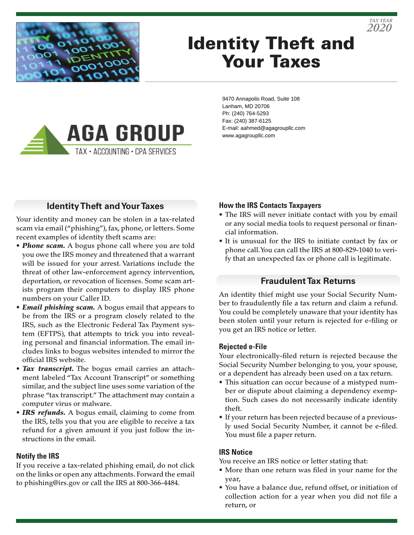

# Identity Theft and Your Taxes



9470 Annapolis Road, Suite 108 Lanham, MD 20706 Ph: (240) 764-5293 Fax: (240) 387-6125 E-mail: aahmed@agagroupllc.com www.agagroupllc.com

## **Identity Theft and Your Taxes**

Your identity and money can be stolen in a tax-related scam via email ("phishing"), fax, phone, or letters. Some recent examples of identity theft scams are:

- *Phone scam.* A bogus phone call where you are told you owe the IRS money and threatened that a warrant will be issued for your arrest. Variations include the threat of other law-enforcement agency intervention, deportation, or revocation of licenses. Some scam artists program their computers to display IRS phone numbers on your Caller ID.
- *Email phishing scam.* A bogus email that appears to be from the IRS or a program closely related to the IRS, such as the Electronic Federal Tax Payment system (EFTPS), that attempts to trick you into revealing personal and financial information. The email includes links to bogus websites intended to mirror the official IRS website.
- *Tax transcript.* The bogus email carries an attachment labeled "Tax Account Transcript" or something similar, and the subject line uses some variation of the phrase "tax transcript." The attachment may contain a computer virus or malware.
- *IRS refunds.* A bogus email, claiming to come from the IRS, tells you that you are eligible to receive a tax refund for a given amount if you just follow the instructions in the email.

#### **Notify the IRS**

If you receive a tax-related phishing email, do not click on the links or open any attachments. Forward the email to phishing@irs.gov or call the IRS at 800-366-4484.

#### **How the IRS Contacts Taxpayers**

• The IRS will never initiate contact with you by email or any social media tools to request personal or financial information.

*2020 TAX YEAR*

• It is unusual for the IRS to initiate contact by fax or phone call. You can call the IRS at 800-829-1040 to verify that an unexpected fax or phone call is legitimate.

### **Fraudulent Tax Returns**

An identity thief might use your Social Security Number to fraudulently file a tax return and claim a refund. You could be completely unaware that your identity has been stolen until your return is rejected for e-filing or you get an IRS notice or letter.

#### **Rejected e-File**

Your electronically-filed return is rejected because the Social Security Number belonging to you, your spouse, or a dependent has already been used on a tax return.

- This situation can occur because of a mistyped number or dispute about claiming a dependency exemption. Such cases do not necessarily indicate identity theft.
- If your return has been rejected because of a previously used Social Security Number, it cannot be e-filed. You must file a paper return.

#### **IRS Notice**

You receive an IRS notice or letter stating that:

- More than one return was filed in your name for the year,
- You have a balance due, refund offset, or initiation of collection action for a year when you did not file a return, or